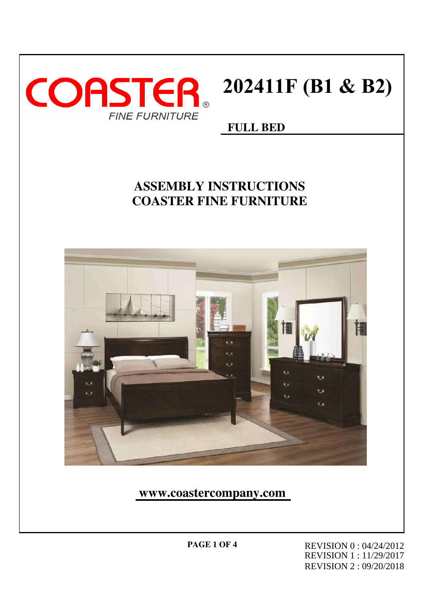

# **202411F (B1 & B2)**

#### **FULL BED**

### **ASSEMBLY INSTRUCTIONS COASTER FINE FURNITURE**



**www.coastercompany.com**

**PAGE 1 OF 4** REVISION 0 : 04/24/2012 REVISION 1 : 11/29/2017 REVISION 2 : 09/20/2018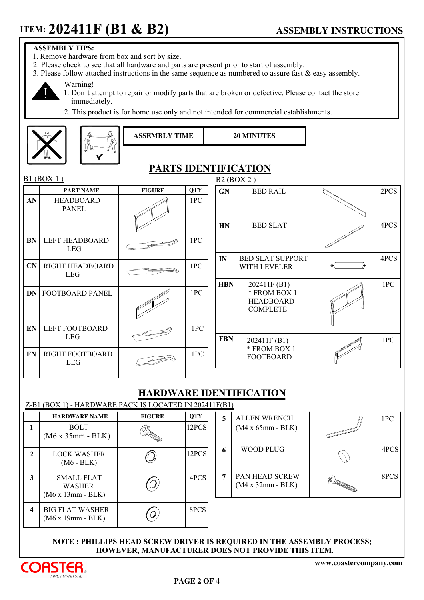#### **ASSEMBLY TIPS:**

- 1. Remove hardware from box and sort by size.
- 2. Please check to see that all hardware and parts are present prior to start of assembly.
- 3. Please follow attached instructions in the same sequence as numbered to assure fast  $\&$  easy assembly.



- Warning! 1. Donˊt attempt to repair or modify parts that are broken or defective. Please contact the store immediately.
- 2. This product is for home use only and not intended for commercial establishments.

**ASSEMBLY TIME 20 MINUTES**



|--|--|--|

#### **PARTS IDENTIFICATION**

| B1 (BOX 1) |                                      |               |            |            | B2 (BOX 2)                                          |  |      |  |
|------------|--------------------------------------|---------------|------------|------------|-----------------------------------------------------|--|------|--|
|            | <b>PART NAME</b>                     | <b>FIGURE</b> | <b>QTY</b> | <b>GN</b>  | <b>BED RAIL</b>                                     |  | 2PCS |  |
| AN         | <b>HEADBOARD</b><br><b>PANEL</b>     |               | 1PC        |            |                                                     |  |      |  |
|            |                                      |               |            | HN         | <b>BED SLAT</b>                                     |  | 4PCS |  |
| BN         | <b>LEFT HEADBOARD</b><br><b>LEG</b>  |               | 1PC        |            |                                                     |  |      |  |
|            |                                      |               |            | IN         | <b>BED SLAT SUPPORT</b>                             |  | 4PCS |  |
| CN         | <b>RIGHT HEADBOARD</b><br><b>LEG</b> |               | 1PC        |            | WITH LEVELER                                        |  |      |  |
|            |                                      |               |            | <b>HBN</b> | 202411F (B1)                                        |  | 1PC  |  |
| <b>DN</b>  | <b>FOOTBOARD PANEL</b>               |               | 1PC        |            | * FROM BOX 1<br><b>HEADBOARD</b><br><b>COMPLETE</b> |  |      |  |
| EN         | <b>LEFT FOOTBOARD</b>                |               | 1PC        |            |                                                     |  |      |  |
|            | <b>LEG</b>                           |               |            | <b>FBN</b> | 202411F (B1)                                        |  | 1PC  |  |
| <b>FN</b>  | RIGHT FOOTBOARD<br><b>LEG</b>        |               | 1PC        |            | * FROM BOX 1<br><b>FOOTBOARD</b>                    |  |      |  |
|            |                                      |               |            |            |                                                     |  |      |  |

#### **HARDWARE IDENTIFICATION**

|                         | Z-B1 (BOX 1) - HARDWARE PACK IS LOCATED IN 202411F(B1) |                |            |   |                                       |                                                                                                                                                                                                                                                                                                                                                                                                                                                                                |      |  |  |
|-------------------------|--------------------------------------------------------|----------------|------------|---|---------------------------------------|--------------------------------------------------------------------------------------------------------------------------------------------------------------------------------------------------------------------------------------------------------------------------------------------------------------------------------------------------------------------------------------------------------------------------------------------------------------------------------|------|--|--|
|                         | <b>HARDWARE NAME</b>                                   | <b>FIGURE</b>  | <b>QTY</b> | 5 | <b>ALLEN WRENCH</b>                   |                                                                                                                                                                                                                                                                                                                                                                                                                                                                                | 1PC  |  |  |
|                         | <b>BOLT</b><br>$(M6 x 35mm - BLK)$                     | (C))<br>Martin | 12PCS      |   | $(M4 \times 65$ mm - BLK)             | $\frac{1}{\sqrt{2\pi}}\int_{0}^{\sqrt{2\pi}}\frac{1}{\sqrt{2\pi}}\left(1-\frac{1}{2}\right)\left(1-\frac{1}{2}\right)\left(1-\frac{1}{2}\right)\left(1-\frac{1}{2}\right)\left(1-\frac{1}{2}\right)\left(1-\frac{1}{2}\right)\left(1-\frac{1}{2}\right)\left(1-\frac{1}{2}\right)\left(1-\frac{1}{2}\right)\left(1-\frac{1}{2}\right)\left(1-\frac{1}{2}\right)\left(1-\frac{1}{2}\right)\left(1-\frac{1}{2}\right)\left(1-\frac{1}{2}\right)\left(1-\frac{1}{2}\right)\left($ |      |  |  |
| $\mathbf{2}$            | <b>LOCK WASHER</b><br>$(M6 - BLK)$                     |                | 12PCS      | 6 | <b>WOOD PLUG</b>                      |                                                                                                                                                                                                                                                                                                                                                                                                                                                                                | 4PCS |  |  |
| 3                       | SMALL FLAT<br><b>WASHER</b><br>$(M6 x 13mm - BLK)$     |                | 4PCS       | 7 | PAN HEAD SCREW<br>$(M4 x 32mm - BLK)$ | $\begin{picture}(20,20) \put(0,0){\line(1,0){10}} \put(15,0){\line(1,0){10}} \put(15,0){\line(1,0){10}} \put(15,0){\line(1,0){10}} \put(15,0){\line(1,0){10}} \put(15,0){\line(1,0){10}} \put(15,0){\line(1,0){10}} \put(15,0){\line(1,0){10}} \put(15,0){\line(1,0){10}} \put(15,0){\line(1,0){10}} \put(15,0){\line(1,0){10}} \put(15,0){\line(1$                                                                                                                            | 8PCS |  |  |
| $\overline{\mathbf{4}}$ | <b>BIG FLAT WASHER</b><br>$(M6 x 19mm - BLK)$          |                | 8PCS       |   |                                       |                                                                                                                                                                                                                                                                                                                                                                                                                                                                                |      |  |  |

#### **NOTE : PHILLIPS HEAD SCREW DRIVER IS REQUIRED IN THE ASSEMBLY PROCESS; HOWEVER, MANUFACTURER DOES NOT PROVIDE THIS ITEM.**

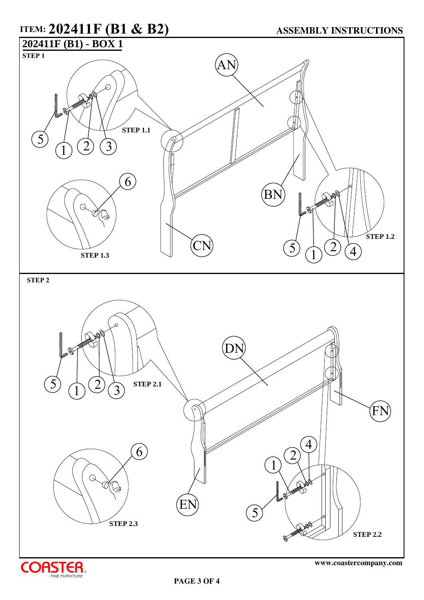## **STEP 1 ITEM: 202411F (B1 & B2)**  $\widehat{1}$  $2) (3)$ 5 AN **ASSEMBLY INSTRUCTIONS 202411F (B1) - BOX 1 STEP 1.1**

6

**STEP 1.3**

 $\mathcal Q$ 

**STEP 2**



CN



 $\widehat{1}$ 

D.

5

BN

 $\left( \frac{2}{4} \right)$ 

**STEP 1.2**